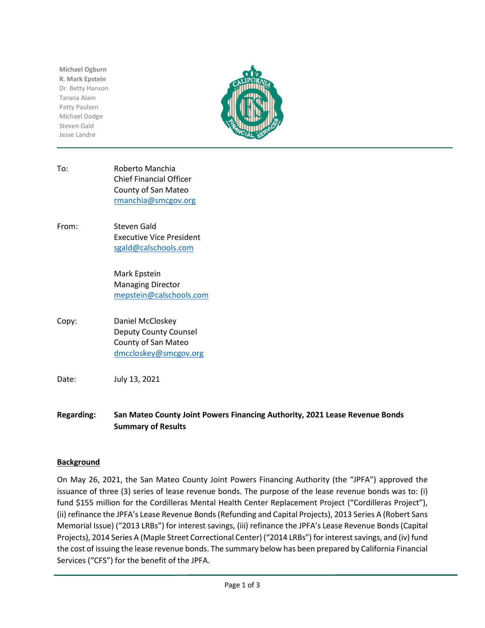**Michael Ogburn R. Mark Epstein** Dr. Betty Hanson Tarana Alam Patty Paulsen Michael Dodge Steven Gald Jesse Landre



- To: Roberto Manchia Chief Financial Officer County of San Mateo rmanchia@smcgov.org
- From: Steven Gald Executive Vice President sgald@calschools.com

Mark Epstein Managing Director mepstein@calschools.com

Copy: Daniel McCloskey Deputy County Counsel County of San Mateo dmccloskey@smcgov.org

Date: July 13, 2021

**Regarding: San Mateo County Joint Powers Financing Authority, 2021 Lease Revenue Bonds Summary of Results**

# **Background**

On May 26, 2021, the San Mateo County Joint Powers Financing Authority (the "JPFA") approved the issuance of three (3) series of lease revenue bonds. The purpose of the lease revenue bonds was to: (i) fund \$155 million for the Cordilleras Mental Health Center Replacement Project ("Cordilleras Project"), (ii) refinance the JPFA's Lease Revenue Bonds (Refunding and Capital Projects), 2013 Series A (Robert Sans Memorial Issue) ("2013 LRBs") for interest savings, (iii) refinance the JPFA's Lease Revenue Bonds (Capital Projects), 2014 Series A (Maple Street Correctional Center) ("2014 LRBs") for interest savings, and (iv) fund the cost of issuing the lease revenue bonds. The summary below has been prepared by California Financial Services ("CFS") for the benefit of the JPFA.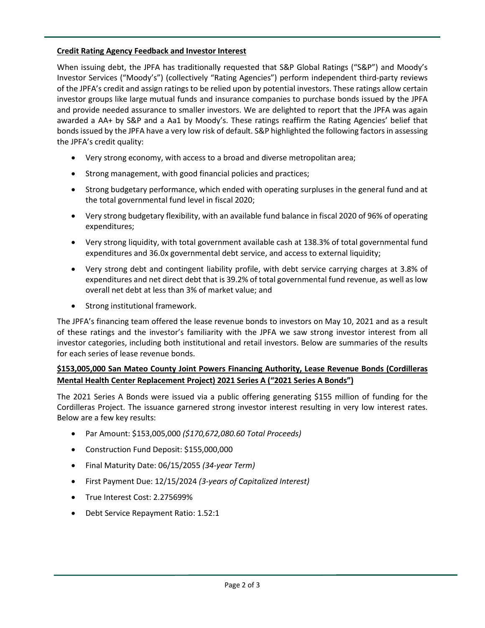### **Credit Rating Agency Feedback and Investor Interest**

When issuing debt, the JPFA has traditionally requested that S&P Global Ratings ("S&P") and Moody's Investor Services ("Moody's") (collectively "Rating Agencies") perform independent third-party reviews of the JPFA's credit and assign ratings to be relied upon by potential investors. These ratings allow certain investor groups like large mutual funds and insurance companies to purchase bonds issued by the JPFA and provide needed assurance to smaller investors. We are delighted to report that the JPFA was again awarded a AA+ by S&P and a Aa1 by Moody's. These ratings reaffirm the Rating Agencies' belief that bondsissued by the JPFA have a very low risk of default. S&P highlighted the following factors in assessing the JPFA's credit quality:

- Very strong economy, with access to a broad and diverse metropolitan area;
- Strong management, with good financial policies and practices;
- Strong budgetary performance, which ended with operating surpluses in the general fund and at the total governmental fund level in fiscal 2020;
- Very strong budgetary flexibility, with an available fund balance in fiscal 2020 of 96% of operating expenditures;
- Very strong liquidity, with total government available cash at 138.3% of total governmental fund expenditures and 36.0x governmental debt service, and access to external liquidity;
- Very strong debt and contingent liability profile, with debt service carrying charges at 3.8% of expenditures and net direct debt that is 39.2% of total governmental fund revenue, as well as low overall net debt at less than 3% of market value; and
- Strong institutional framework.

The JPFA's financing team offered the lease revenue bonds to investors on May 10, 2021 and as a result of these ratings and the investor's familiarity with the JPFA we saw strong investor interest from all investor categories, including both institutional and retail investors. Below are summaries of the results for each series of lease revenue bonds.

# **\$153,005,000 San Mateo County Joint Powers Financing Authority, Lease Revenue Bonds (Cordilleras Mental Health Center Replacement Project) 2021 Series A ("2021 Series A Bonds")**

The 2021 Series A Bonds were issued via a public offering generating \$155 million of funding for the Cordilleras Project. The issuance garnered strong investor interest resulting in very low interest rates. Below are a few key results:

- Par Amount: \$153,005,000 *(\$170,672,080.60 Total Proceeds)*
- Construction Fund Deposit: \$155,000,000
- Final Maturity Date: 06/15/2055 *(34-year Term)*
- First Payment Due: 12/15/2024 *(3-years of Capitalized Interest)*
- True Interest Cost: 2.275699%
- Debt Service Repayment Ratio: 1.52:1